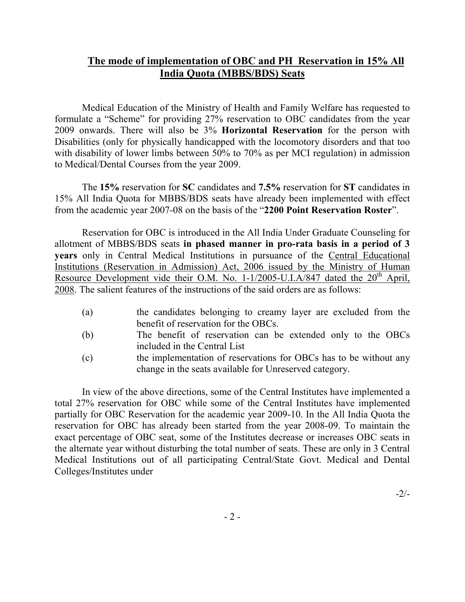## The mode of implementation of OBC and PH Reservation in 15% All India Quota (MBBS/BDS) Seats

Medical Education of the Ministry of Health and Family Welfare has requested to formulate a "Scheme" for providing 27% reservation to OBC candidates from the year 2009 onwards. There will also be 3% Horizontal Reservation for the person with Disabilities (only for physically handicapped with the locomotory disorders and that too with disability of lower limbs between 50% to 70% as per MCI regulation) in admission to Medical/Dental Courses from the year 2009.

The 15% reservation for SC candidates and 7.5% reservation for ST candidates in 15% All India Quota for MBBS/BDS seats have already been implemented with effect from the academic year 2007-08 on the basis of the "2200 Point Reservation Roster".

Reservation for OBC is introduced in the All India Under Graduate Counseling for allotment of MBBS/BDS seats in phased manner in pro-rata basis in a period of 3 years only in Central Medical Institutions in pursuance of the Central Educational Institutions (Reservation in Admission) Act, 2006 issued by the Ministry of Human Resource Development vide their O.M. No.  $1-1/2005-U.I.A/847$  dated the  $20<sup>th</sup>$  April, 2008. The salient features of the instructions of the said orders are as follows:

- (a) the candidates belonging to creamy layer are excluded from the benefit of reservation for the OBCs.
- (b) The benefit of reservation can be extended only to the OBCs included in the Central List
- (c) the implementation of reservations for OBCs has to be without any change in the seats available for Unreserved category.

In view of the above directions, some of the Central Institutes have implemented a total 27% reservation for OBC while some of the Central Institutes have implemented partially for OBC Reservation for the academic year 2009-10. In the All India Quota the reservation for OBC has already been started from the year 2008-09. To maintain the exact percentage of OBC seat, some of the Institutes decrease or increases OBC seats in the alternate year without disturbing the total number of seats. These are only in 3 Central Medical Institutions out of all participating Central/State Govt. Medical and Dental Colleges/Institutes under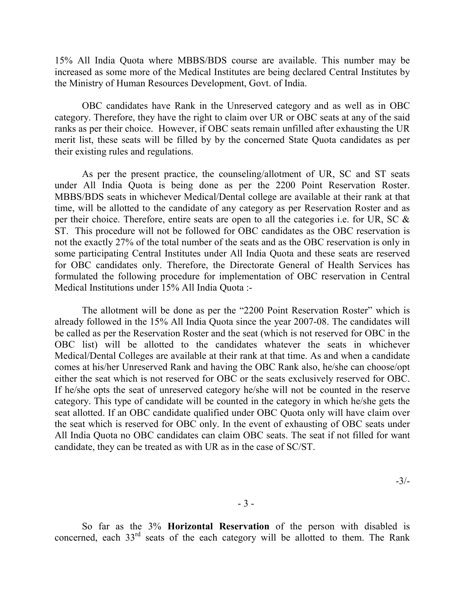15% All India Quota where MBBS/BDS course are available. This number may be increased as some more of the Medical Institutes are being declared Central Institutes by the Ministry of Human Resources Development, Govt. of India.

OBC candidates have Rank in the Unreserved category and as well as in OBC category. Therefore, they have the right to claim over UR or OBC seats at any of the said ranks as per their choice. However, if OBC seats remain unfilled after exhausting the UR merit list, these seats will be filled by by the concerned State Quota candidates as per their existing rules and regulations.

As per the present practice, the counseling/allotment of UR, SC and ST seats under All India Quota is being done as per the 2200 Point Reservation Roster. MBBS/BDS seats in whichever Medical/Dental college are available at their rank at that time, will be allotted to the candidate of any category as per Reservation Roster and as per their choice. Therefore, entire seats are open to all the categories i.e. for UR, SC & ST. This procedure will not be followed for OBC candidates as the OBC reservation is not the exactly 27% of the total number of the seats and as the OBC reservation is only in some participating Central Institutes under All India Quota and these seats are reserved for OBC candidates only. Therefore, the Directorate General of Health Services has formulated the following procedure for implementation of OBC reservation in Central Medical Institutions under 15% All India Quota :-

The allotment will be done as per the "2200 Point Reservation Roster" which is already followed in the 15% All India Quota since the year 2007-08. The candidates will be called as per the Reservation Roster and the seat (which is not reserved for OBC in the OBC list) will be allotted to the candidates whatever the seats in whichever Medical/Dental Colleges are available at their rank at that time. As and when a candidate comes at his/her Unreserved Rank and having the OBC Rank also, he/she can choose/opt either the seat which is not reserved for OBC or the seats exclusively reserved for OBC. If he/she opts the seat of unreserved category he/she will not be counted in the reserve category. This type of candidate will be counted in the category in which he/she gets the seat allotted. If an OBC candidate qualified under OBC Quota only will have claim over the seat which is reserved for OBC only. In the event of exhausting of OBC seats under All India Quota no OBC candidates can claim OBC seats. The seat if not filled for want candidate, they can be treated as with UR as in the case of SC/ST.

-3/-

So far as the 3% Horizontal Reservation of the person with disabled is concerned, each  $33<sup>rd</sup>$  seats of the each category will be allotted to them. The Rank